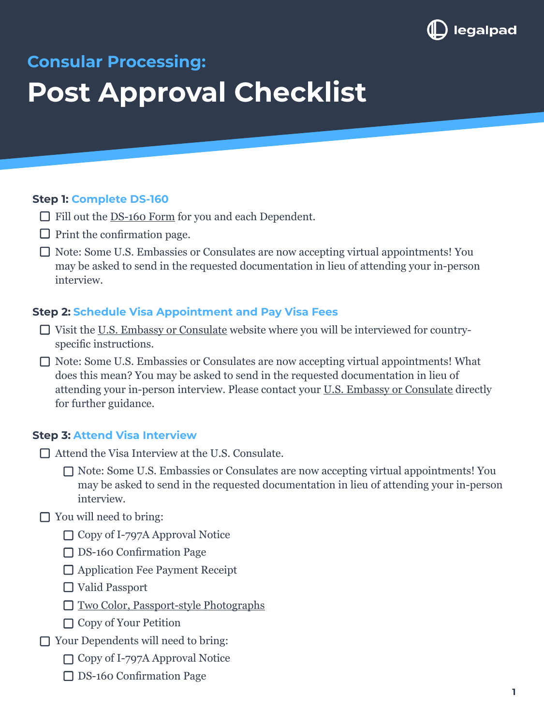

# **Consular Processing: Post Approval Checklist**

#### **Step 1: Complete DS-160**

- Fill out the [DS-160 Form](https://ceac.state.gov/genniv/) for you and each Dependent.
- $\Box$  Print the confirmation page.
- □ Note: Some U.S. Embassies or Consulates are now accepting virtual appointments! You may be asked to send in the requested documentation in lieu of attending your in-person interview.

## **Step 2: Schedule Visa Appointment and Pay Visa Fees**

- Visit the [U.S. Embassy or Consulate](https://www.usembassy.gov/) website where you will be interviewed for countryspecific instructions.
- □ Note: Some U.S. Embassies or Consulates are now accepting virtual appointments! What does this mean? You may be asked to send in the requested documentation in lieu of attending your in-person interview. Please contact your [U.S. Embassy or Consulate](https://www.usembassy.gov/) directly for further guidance.

#### **Step 3: Attend Visa Interview**

- □ Attend the Visa Interview at the U.S. Consulate.
	- □ Note: Some U.S. Embassies or Consulates are now accepting virtual appointments! You may be asked to send in the requested documentation in lieu of attending your in-person interview.
- $\Box$  You will need to bring:
	- □ Copy of I-797A Approval Notice
	- DS-160 Confirmation Page
	- □ Application Fee Payment Receipt
	- □ Valid Passport
	- [Two Color, Passport-style Photographs](https://travel.state.gov/content/travel/en/us-visas/visa-information-resources/photos.html)
	- □ Copy of Your Petition
- □ Your Dependents will need to bring:
	- □ Copy of I-797A Approval Notice
	- DS-160 Confirmation Page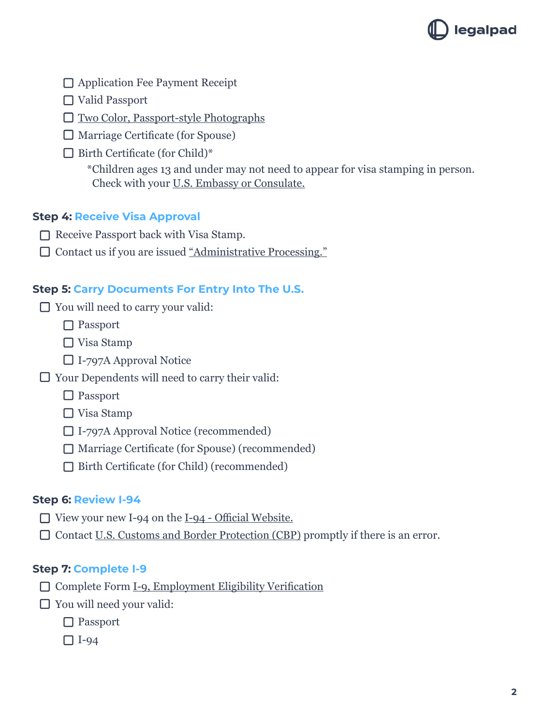

□ Application Fee Payment Receipt

Valid Passport

□ [Two Color, Passport-style Photographs](https://travel.state.gov/content/travel/en/us-visas/visa-information-resources/photos.html)

 $\Box$  Marriage Certificate (for Spouse)

 $\Box$  Birth Certificate (for Child)\*

\*Children ages 13 and under may not need to appear for visa stamping in person. Check with your [U.S. Embassy or Consulate.](https://www.usembassy.gov/)

# **Step 4: Receive Visa Approval**

- $\Box$  Receive Passport back with Visa Stamp.
- □ Contact us if you are issued ["Administrative Processing."](https://legalpad.io/blog/overview-of-administrative-processing-and-how-to-avoid-it/)

## **Step 5: Carry Documents For Entry Into The U.S.**

- You will need to carry your valid:
	- □ Passport
	- □ Visa Stamp
	- I-797A Approval Notice
- $\Box$  Your Dependents will need to carry their valid:
	- □ Passport
	- □ Visa Stamp
	- I-797A Approval Notice (recommended)
	- □ Marriage Certificate (for Spouse) (recommended)
	- □ Birth Certificate (for Child) (recommended)

#### **Step 6: Review I-94**

- $\Box$  View your new I-94 on the [I-94 Official Website.](https://i94.cbp.dhs.gov/I94/#/home)
- $\Box$  Contact [U.S. Customs and Border Protection \(CBP\)](https://www.cbp.gov/contact/ports/deferred-inspection-sites) promptly if there is an error.

#### **Step 7: Complete I-9**

- Complete Form [I-9, Employment Eligibility Verification](https://www.uscis.gov/i-9)
- □ You will need your valid:
	- □ Passport
	- $\Box$  I-94